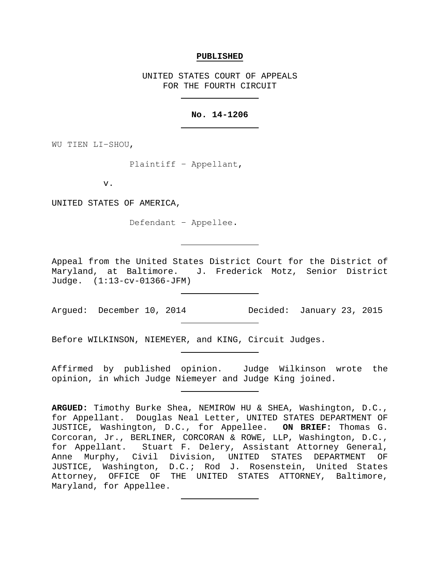#### **PUBLISHED**

UNITED STATES COURT OF APPEALS FOR THE FOURTH CIRCUIT

### **No. 14-1206**

WU TIEN LI−SHOU,

Plaintiff − Appellant,

v.

UNITED STATES OF AMERICA,

Defendant − Appellee.

Appeal from the United States District Court for the District of Maryland, at Baltimore. J. Frederick Motz, Senior District Judge. (1:13-cv-01366-JFM)

Argued: December 10, 2014 Decided: January 23, 2015

Before WILKINSON, NIEMEYER, and KING, Circuit Judges.

Affirmed by published opinion. Judge Wilkinson wrote the opinion, in which Judge Niemeyer and Judge King joined.

**ARGUED:** Timothy Burke Shea, NEMIROW HU & SHEA, Washington, D.C., for Appellant. Douglas Neal Letter, UNITED STATES DEPARTMENT OF JUSTICE, Washington, D.C., for Appellee. **ON BRIEF:** Thomas G. Corcoran, Jr., BERLINER, CORCORAN & ROWE, LLP, Washington, D.C., for Appellant. Stuart F. Delery, Assistant Attorney General, Anne Murphy, Civil Division, UNITED STATES DEPARTMENT OF JUSTICE, Washington, D.C.; Rod J. Rosenstein, United States Attorney, OFFICE OF THE UNITED STATES ATTORNEY, Baltimore, Maryland, for Appellee.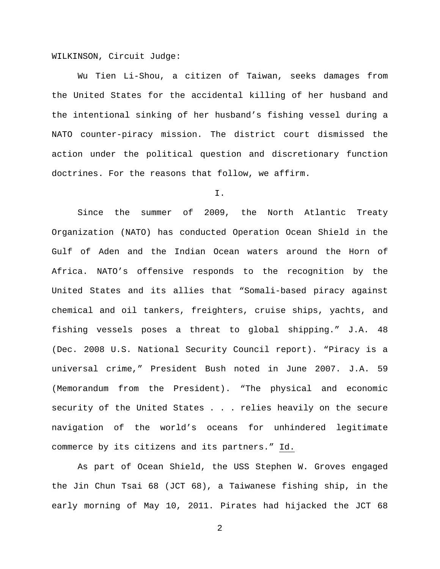WILKINSON, Circuit Judge:

Wu Tien Li-Shou, a citizen of Taiwan, seeks damages from the United States for the accidental killing of her husband and the intentional sinking of her husband's fishing vessel during a NATO counter-piracy mission. The district court dismissed the action under the political question and discretionary function doctrines. For the reasons that follow, we affirm.

I.

Since the summer of 2009, the North Atlantic Treaty Organization (NATO) has conducted Operation Ocean Shield in the Gulf of Aden and the Indian Ocean waters around the Horn of Africa. NATO's offensive responds to the recognition by the United States and its allies that "Somali-based piracy against chemical and oil tankers, freighters, cruise ships, yachts, and fishing vessels poses a threat to global shipping." J.A. 48 (Dec. 2008 U.S. National Security Council report). "Piracy is a universal crime," President Bush noted in June 2007. J.A. 59 (Memorandum from the President). "The physical and economic security of the United States . . . relies heavily on the secure navigation of the world's oceans for unhindered legitimate commerce by its citizens and its partners." Id.

As part of Ocean Shield, the USS Stephen W. Groves engaged the Jin Chun Tsai 68 (JCT 68), a Taiwanese fishing ship, in the early morning of May 10, 2011. Pirates had hijacked the JCT 68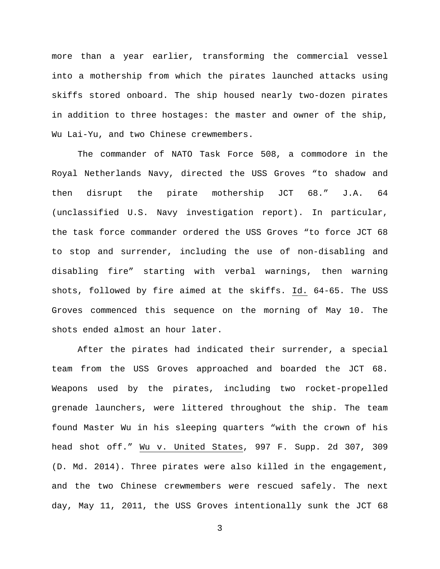more than a year earlier, transforming the commercial vessel into a mothership from which the pirates launched attacks using skiffs stored onboard. The ship housed nearly two-dozen pirates in addition to three hostages: the master and owner of the ship, Wu Lai-Yu, and two Chinese crewmembers.

The commander of NATO Task Force 508, a commodore in the Royal Netherlands Navy, directed the USS Groves "to shadow and then disrupt the pirate mothership JCT 68." J.A. 64 (unclassified U.S. Navy investigation report). In particular, the task force commander ordered the USS Groves "to force JCT 68 to stop and surrender, including the use of non-disabling and disabling fire" starting with verbal warnings, then warning shots, followed by fire aimed at the skiffs. Id. 64-65. The USS Groves commenced this sequence on the morning of May 10. The shots ended almost an hour later.

After the pirates had indicated their surrender, a special team from the USS Groves approached and boarded the JCT 68. Weapons used by the pirates, including two rocket-propelled grenade launchers, were littered throughout the ship. The team found Master Wu in his sleeping quarters "with the crown of his head shot off." Wu v. United States, 997 F. Supp. 2d 307, 309 (D. Md. 2014). Three pirates were also killed in the engagement, and the two Chinese crewmembers were rescued safely. The next day, May 11, 2011, the USS Groves intentionally sunk the JCT 68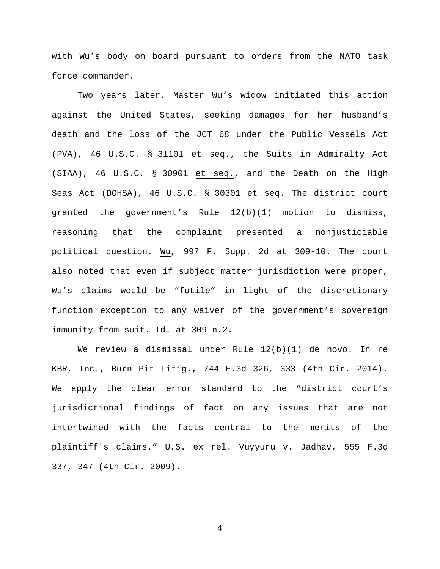with Wu's body on board pursuant to orders from the NATO task force commander.

Two years later, Master Wu's widow initiated this action against the United States, seeking damages for her husband's death and the loss of the JCT 68 under the Public Vessels Act (PVA), 46 U.S.C. § 31101 et seq., the Suits in Admiralty Act (SIAA), 46 U.S.C. § 30901 et seq., and the Death on the High Seas Act (DOHSA), 46 U.S.C. § 30301 et seq. The district court granted the government's Rule 12(b)(1) motion to dismiss, reasoning that the complaint presented a nonjusticiable political question. Wu, 997 F. Supp. 2d at 309-10. The court also noted that even if subject matter jurisdiction were proper, Wu's claims would be "futile" in light of the discretionary function exception to any waiver of the government's sovereign immunity from suit. Id. at 309 n.2.

We review a dismissal under Rule 12(b)(1) de novo. In re KBR, Inc., Burn Pit Litig., 744 F.3d 326, 333 (4th Cir. 2014). We apply the clear error standard to the "district court's jurisdictional findings of fact on any issues that are not intertwined with the facts central to the merits of the plaintiff's claims." U.S. ex rel. Vuyyuru v. Jadhav, 555 F.3d 337, 347 (4th Cir. 2009).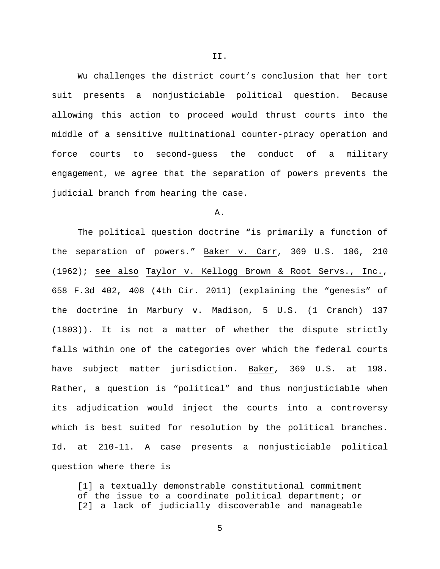Wu challenges the district court's conclusion that her tort suit presents a nonjusticiable political question. Because allowing this action to proceed would thrust courts into the middle of a sensitive multinational counter-piracy operation and force courts to second-guess the conduct of a military engagement, we agree that the separation of powers prevents the judicial branch from hearing the case.

## A.

The political question doctrine "is primarily a function of the separation of powers." Baker v. Carr, 369 U.S. 186, 210 (1962); see also Taylor v. Kellogg Brown & Root Servs., Inc., 658 F.3d 402, 408 (4th Cir. 2011) (explaining the "genesis" of the doctrine in Marbury v. Madison, 5 U.S. (1 Cranch) 137 (1803)). It is not a matter of whether the dispute strictly falls within one of the categories over which the federal courts have subject matter jurisdiction. Baker, 369 U.S. at 198. Rather, a question is "political" and thus nonjusticiable when its adjudication would inject the courts into a controversy which is best suited for resolution by the political branches. Id. at 210-11. A case presents a nonjusticiable political question where there is

[1] a textually demonstrable constitutional commitment of the issue to a coordinate political department; or [2] a lack of judicially discoverable and manageable

5

II.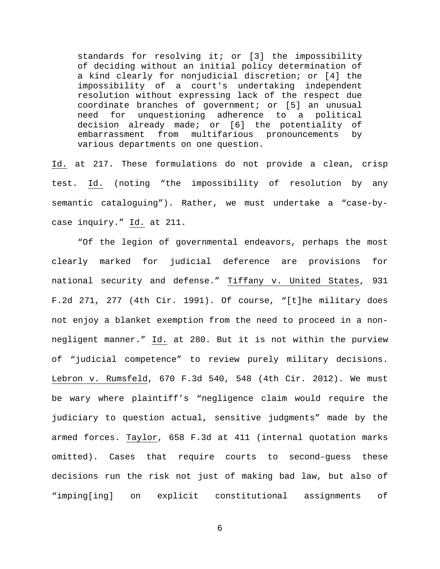standards for resolving it; or [3] the impossibility of deciding without an initial policy determination of a kind clearly for nonjudicial discretion; or [4] the impossibility of a court's undertaking independent resolution without expressing lack of the respect due coordinate branches of government; or [5] an unusual need for unquestioning adherence to a political decision already made; or [6] the potentiality of embarrassment from multifarious pronouncements by various departments on one question.

Id. at 217. These formulations do not provide a clean, crisp test. Id. (noting "the impossibility of resolution by any semantic cataloguing"). Rather, we must undertake a "case-bycase inquiry." Id. at 211.

"Of the legion of governmental endeavors, perhaps the most clearly marked for judicial deference are provisions for national security and defense." Tiffany v. United States, 931 F.2d 271, 277 (4th Cir. 1991). Of course, "[t]he military does not enjoy a blanket exemption from the need to proceed in a nonnegligent manner." Id. at 280. But it is not within the purview of "judicial competence" to review purely military decisions. Lebron v. Rumsfeld, 670 F.3d 540, 548 (4th Cir. 2012). We must be wary where plaintiff's "negligence claim would require the judiciary to question actual, sensitive judgments" made by the armed forces. Taylor, 658 F.3d at 411 (internal quotation marks omitted). Cases that require courts to second-guess these decisions run the risk not just of making bad law, but also of "imping[ing] on explicit constitutional assignments of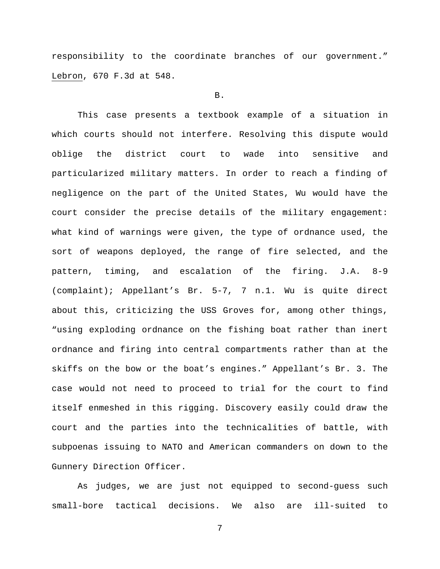responsibility to the coordinate branches of our government." Lebron, 670 F.3d at 548.

### B.

This case presents a textbook example of a situation in which courts should not interfere. Resolving this dispute would oblige the district court to wade into sensitive and particularized military matters. In order to reach a finding of negligence on the part of the United States, Wu would have the court consider the precise details of the military engagement: what kind of warnings were given, the type of ordnance used, the sort of weapons deployed, the range of fire selected, and the pattern, timing, and escalation of the firing. J.A. 8-9 (complaint); Appellant's Br. 5-7, 7 n.1. Wu is quite direct about this, criticizing the USS Groves for, among other things, "using exploding ordnance on the fishing boat rather than inert ordnance and firing into central compartments rather than at the skiffs on the bow or the boat's engines." Appellant's Br. 3. The case would not need to proceed to trial for the court to find itself enmeshed in this rigging. Discovery easily could draw the court and the parties into the technicalities of battle, with subpoenas issuing to NATO and American commanders on down to the Gunnery Direction Officer.

As judges, we are just not equipped to second-guess such small-bore tactical decisions. We also are ill-suited to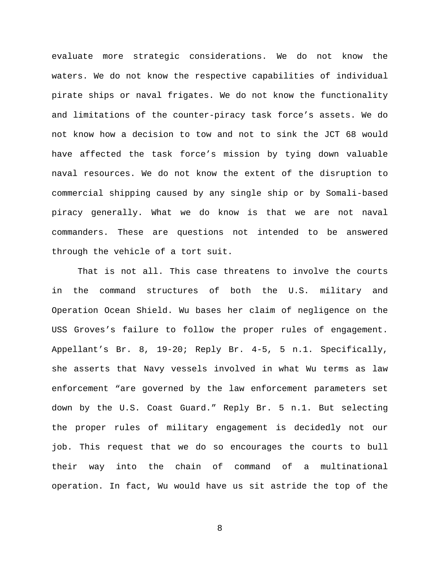evaluate more strategic considerations. We do not know the waters. We do not know the respective capabilities of individual pirate ships or naval frigates. We do not know the functionality and limitations of the counter-piracy task force's assets. We do not know how a decision to tow and not to sink the JCT 68 would have affected the task force's mission by tying down valuable naval resources. We do not know the extent of the disruption to commercial shipping caused by any single ship or by Somali-based piracy generally. What we do know is that we are not naval commanders. These are questions not intended to be answered through the vehicle of a tort suit.

That is not all. This case threatens to involve the courts in the command structures of both the U.S. military and Operation Ocean Shield. Wu bases her claim of negligence on the USS Groves's failure to follow the proper rules of engagement. Appellant's Br. 8, 19-20; Reply Br. 4-5, 5 n.1. Specifically, she asserts that Navy vessels involved in what Wu terms as law enforcement "are governed by the law enforcement parameters set down by the U.S. Coast Guard." Reply Br. 5 n.1. But selecting the proper rules of military engagement is decidedly not our job. This request that we do so encourages the courts to bull their way into the chain of command of a multinational operation. In fact, Wu would have us sit astride the top of the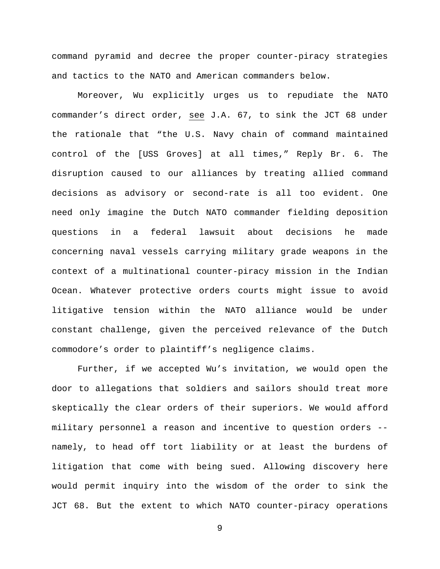command pyramid and decree the proper counter-piracy strategies and tactics to the NATO and American commanders below.

Moreover, Wu explicitly urges us to repudiate the NATO commander's direct order, see J.A. 67, to sink the JCT 68 under the rationale that "the U.S. Navy chain of command maintained control of the [USS Groves] at all times," Reply Br. 6. The disruption caused to our alliances by treating allied command decisions as advisory or second-rate is all too evident. One need only imagine the Dutch NATO commander fielding deposition questions in a federal lawsuit about decisions he made concerning naval vessels carrying military grade weapons in the context of a multinational counter-piracy mission in the Indian Ocean. Whatever protective orders courts might issue to avoid litigative tension within the NATO alliance would be under constant challenge, given the perceived relevance of the Dutch commodore's order to plaintiff's negligence claims.

Further, if we accepted Wu's invitation, we would open the door to allegations that soldiers and sailors should treat more skeptically the clear orders of their superiors. We would afford military personnel a reason and incentive to question orders - namely, to head off tort liability or at least the burdens of litigation that come with being sued. Allowing discovery here would permit inquiry into the wisdom of the order to sink the JCT 68. But the extent to which NATO counter-piracy operations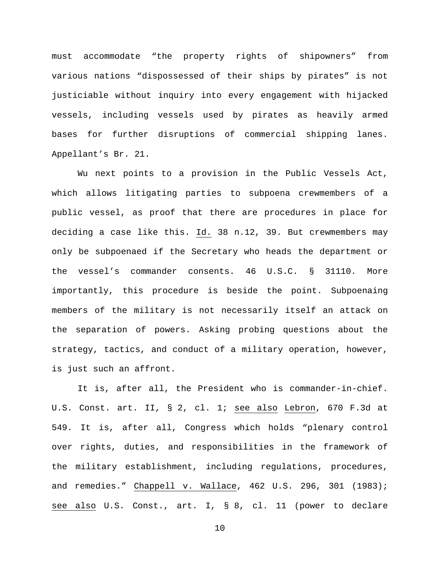must accommodate "the property rights of shipowners" from various nations "dispossessed of their ships by pirates" is not justiciable without inquiry into every engagement with hijacked vessels, including vessels used by pirates as heavily armed bases for further disruptions of commercial shipping lanes. Appellant's Br. 21.

Wu next points to a provision in the Public Vessels Act, which allows litigating parties to subpoena crewmembers of a public vessel, as proof that there are procedures in place for deciding a case like this. Id. 38 n.12, 39. But crewmembers may only be subpoenaed if the Secretary who heads the department or the vessel's commander consents. 46 U.S.C. § 31110. More importantly, this procedure is beside the point. Subpoenaing members of the military is not necessarily itself an attack on the separation of powers. Asking probing questions about the strategy, tactics, and conduct of a military operation, however, is just such an affront.

It is, after all, the President who is commander-in-chief. U.S. Const. art. II, § 2, cl. 1; see also Lebron, 670 F.3d at 549. It is, after all, Congress which holds "plenary control over rights, duties, and responsibilities in the framework of the military establishment, including regulations, procedures, and remedies." Chappell v. Wallace, 462 U.S. 296, 301 (1983); see also U.S. Const., art. I, § 8, cl. 11 (power to declare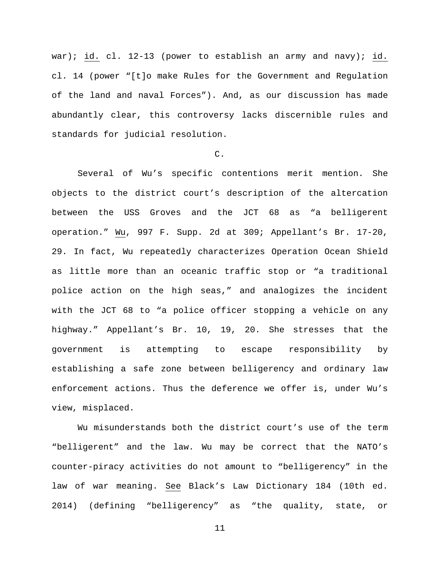war); id. cl. 12-13 (power to establish an army and navy); id. cl. 14 (power "[t]o make Rules for the Government and Regulation of the land and naval Forces"). And, as our discussion has made abundantly clear, this controversy lacks discernible rules and standards for judicial resolution.

## $C<sub>1</sub>$

Several of Wu's specific contentions merit mention. She objects to the district court's description of the altercation between the USS Groves and the JCT 68 as "a belligerent operation." Wu, 997 F. Supp. 2d at 309; Appellant's Br. 17-20, 29. In fact, Wu repeatedly characterizes Operation Ocean Shield as little more than an oceanic traffic stop or "a traditional police action on the high seas," and analogizes the incident with the JCT 68 to "a police officer stopping a vehicle on any highway." Appellant's Br. 10, 19, 20. She stresses that the government is attempting to escape responsibility by establishing a safe zone between belligerency and ordinary law enforcement actions. Thus the deference we offer is, under Wu's view, misplaced.

Wu misunderstands both the district court's use of the term "belligerent" and the law. Wu may be correct that the NATO's counter-piracy activities do not amount to "belligerency" in the law of war meaning. See Black's Law Dictionary 184 (10th ed. 2014) (defining "belligerency" as "the quality, state, or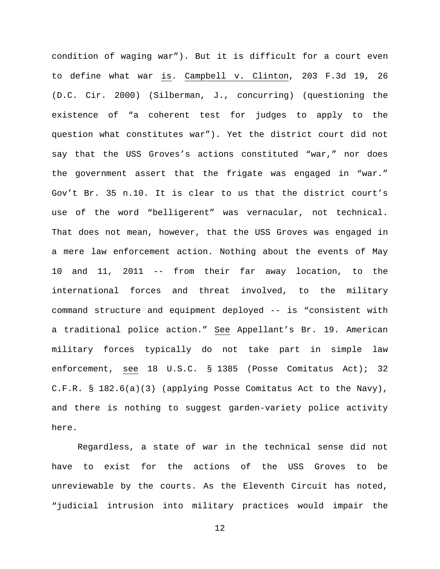condition of waging war"). But it is difficult for a court even to define what war is. Campbell v. Clinton, 203 F.3d 19, 26 (D.C. Cir. 2000) (Silberman, J., concurring) (questioning the existence of "a coherent test for judges to apply to the question what constitutes war"). Yet the district court did not say that the USS Groves's actions constituted "war," nor does the government assert that the frigate was engaged in "war." Gov't Br. 35 n.10. It is clear to us that the district court's use of the word "belligerent" was vernacular, not technical. That does not mean, however, that the USS Groves was engaged in a mere law enforcement action. Nothing about the events of May 10 and 11, 2011 -- from their far away location, to the international forces and threat involved, to the military command structure and equipment deployed -- is "consistent with a traditional police action." See Appellant's Br. 19. American military forces typically do not take part in simple law enforcement, see 18 U.S.C. § 1385 (Posse Comitatus Act); 32 C.F.R. § 182.6(a)(3) (applying Posse Comitatus Act to the Navy), and there is nothing to suggest garden-variety police activity here.

Regardless, a state of war in the technical sense did not have to exist for the actions of the USS Groves to be unreviewable by the courts. As the Eleventh Circuit has noted, "judicial intrusion into military practices would impair the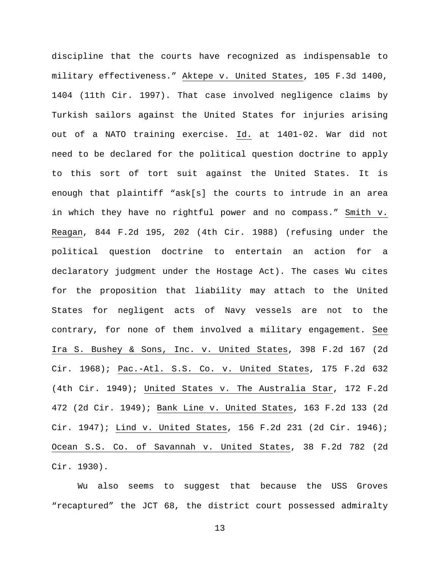discipline that the courts have recognized as indispensable to military effectiveness." Aktepe v. United States, 105 F.3d 1400, 1404 (11th Cir. 1997). That case involved negligence claims by Turkish sailors against the United States for injuries arising out of a NATO training exercise. Id. at 1401-02. War did not need to be declared for the political question doctrine to apply to this sort of tort suit against the United States. It is enough that plaintiff "ask[s] the courts to intrude in an area in which they have no rightful power and no compass." Smith v. Reagan, 844 F.2d 195, 202 (4th Cir. 1988) (refusing under the political question doctrine to entertain an action for a declaratory judgment under the Hostage Act). The cases Wu cites for the proposition that liability may attach to the United States for negligent acts of Navy vessels are not to the contrary, for none of them involved a military engagement. See Ira S. Bushey & Sons, Inc. v. United States, 398 F.2d 167 (2d Cir. 1968); Pac.-Atl. S.S. Co. v. United States, 175 F.2d 632 (4th Cir. 1949); United States v. The Australia Star, 172 F.2d 472 (2d Cir. 1949); Bank Line v. United States, 163 F.2d 133 (2d Cir. 1947); Lind v. United States, 156 F.2d 231 (2d Cir. 1946); Ocean S.S. Co. of Savannah v. United States, 38 F.2d 782 (2d Cir. 1930).

Wu also seems to suggest that because the USS Groves "recaptured" the JCT 68, the district court possessed admiralty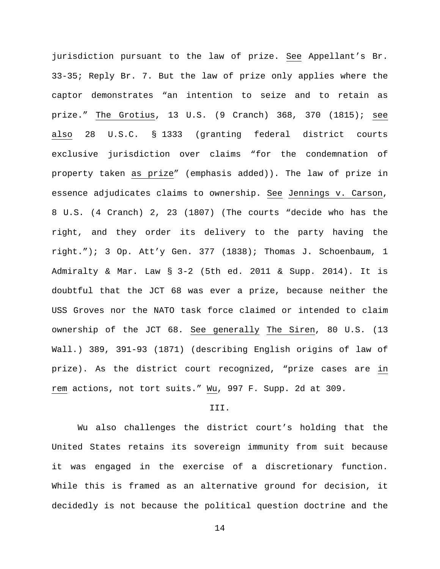jurisdiction pursuant to the law of prize. See Appellant's Br. 33-35; Reply Br. 7. But the law of prize only applies where the captor demonstrates "an intention to seize and to retain as prize." The Grotius, 13 U.S. (9 Cranch) 368, 370 (1815); see also 28 U.S.C. § 1333 (granting federal district courts exclusive jurisdiction over claims "for the condemnation of property taken as prize" (emphasis added)). The law of prize in essence adjudicates claims to ownership. See Jennings v. Carson, 8 U.S. (4 Cranch) 2, 23 (1807) (The courts "decide who has the right, and they order its delivery to the party having the right."); 3 Op. Att'y Gen. 377 (1838); Thomas J. Schoenbaum, 1 Admiralty & Mar. Law § 3-2 (5th ed. 2011 & Supp. 2014). It is doubtful that the JCT 68 was ever a prize, because neither the USS Groves nor the NATO task force claimed or intended to claim ownership of the JCT 68. See generally The Siren, 80 U.S. (13 Wall.) 389, 391-93 (1871) (describing English origins of law of prize). As the district court recognized, "prize cases are in rem actions, not tort suits." Wu, 997 F. Supp. 2d at 309.

# III.

Wu also challenges the district court's holding that the United States retains its sovereign immunity from suit because it was engaged in the exercise of a discretionary function. While this is framed as an alternative ground for decision, it decidedly is not because the political question doctrine and the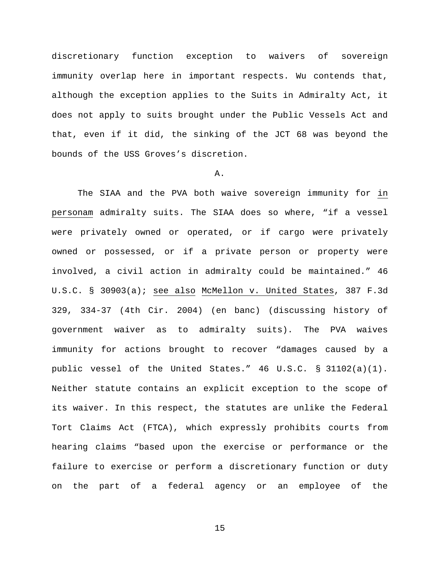discretionary function exception to waivers of sovereign immunity overlap here in important respects. Wu contends that, although the exception applies to the Suits in Admiralty Act, it does not apply to suits brought under the Public Vessels Act and that, even if it did, the sinking of the JCT 68 was beyond the bounds of the USS Groves's discretion.

### A.

The SIAA and the PVA both waive sovereign immunity for in personam admiralty suits. The SIAA does so where, "if a vessel were privately owned or operated, or if cargo were privately owned or possessed, or if a private person or property were involved, a civil action in admiralty could be maintained." 46 U.S.C. § 30903(a); see also McMellon v. United States, 387 F.3d 329, 334-37 (4th Cir. 2004) (en banc) (discussing history of government waiver as to admiralty suits). The PVA waives immunity for actions brought to recover "damages caused by a public vessel of the United States." 46 U.S.C. § 31102(a)(1). Neither statute contains an explicit exception to the scope of its waiver. In this respect, the statutes are unlike the Federal Tort Claims Act (FTCA), which expressly prohibits courts from hearing claims "based upon the exercise or performance or the failure to exercise or perform a discretionary function or duty on the part of a federal agency or an employee of the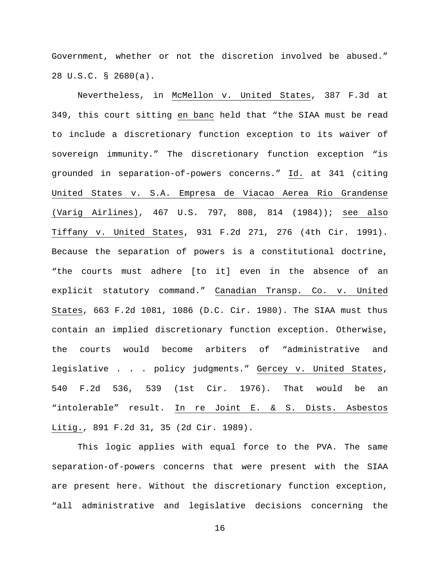Government, whether or not the discretion involved be abused." 28 U.S.C. § 2680(a).

Nevertheless, in McMellon v. United States, 387 F.3d at 349, this court sitting en banc held that "the SIAA must be read to include a discretionary function exception to its waiver of sovereign immunity." The discretionary function exception "is grounded in separation-of-powers concerns." Id. at 341 (citing United States v. S.A. Empresa de Viacao Aerea Rio Grandense (Varig Airlines), 467 U.S. 797, 808, 814 (1984)); see also Tiffany v. United States, 931 F.2d 271, 276 (4th Cir. 1991). Because the separation of powers is a constitutional doctrine, "the courts must adhere [to it] even in the absence of an explicit statutory command." Canadian Transp. Co. v. United States, 663 F.2d 1081, 1086 (D.C. Cir. 1980). The SIAA must thus contain an implied discretionary function exception. Otherwise, the courts would become arbiters of "administrative and legislative . . . policy judgments." Gercey v. United States, 540 F.2d 536, 539 (1st Cir. 1976). That would be an "intolerable" result. In re Joint E. & S. Dists. Asbestos Litig., 891 F.2d 31, 35 (2d Cir. 1989).

This logic applies with equal force to the PVA. The same separation-of-powers concerns that were present with the SIAA are present here. Without the discretionary function exception, "all administrative and legislative decisions concerning the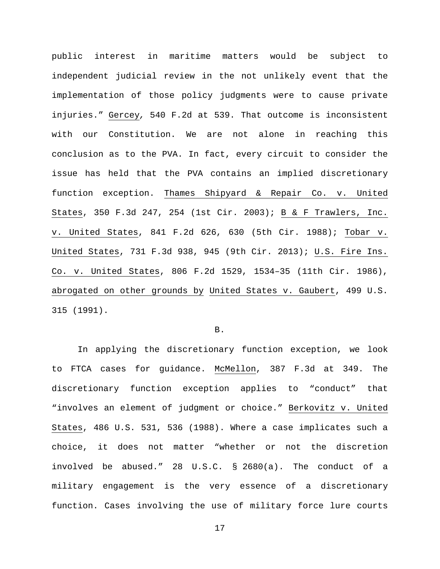public interest in maritime matters would be subject to independent judicial review in the not unlikely event that the implementation of those policy judgments were to cause private injuries." Gercey*,* 540 F.2d at 539. That outcome is inconsistent with our Constitution. We are not alone in reaching this conclusion as to the PVA. In fact, every circuit to consider the issue has held that the PVA contains an implied discretionary function exception. Thames Shipyard & Repair Co. v. United States, 350 F.3d 247, 254 (1st Cir. 2003); B & F Trawlers, Inc. v. United States, 841 F.2d 626, 630 (5th Cir. 1988); Tobar v. United States, 731 F.3d 938, 945 (9th Cir. 2013); U.S. Fire Ins. Co. v. United States, 806 F.2d 1529, 1534–35 (11th Cir. 1986), abrogated on other grounds by United States v. Gaubert, 499 U.S. 315 (1991).

B.

In applying the discretionary function exception, we look to FTCA cases for guidance. McMellon, 387 F.3d at 349. The discretionary function exception applies to "conduct" that "involves an element of judgment or choice." Berkovitz v. United States, 486 U.S. 531, 536 (1988). Where a case implicates such a choice, it does not matter "whether or not the discretion involved be abused." 28 U.S.C. § 2680(a). The conduct of a military engagement is the very essence of a discretionary function. Cases involving the use of military force lure courts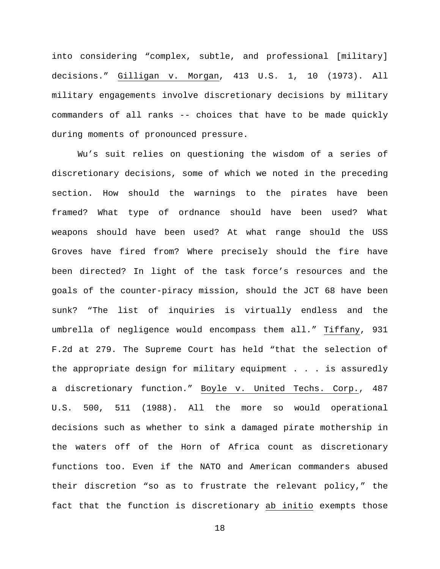into considering "complex, subtle, and professional [military] decisions." Gilligan v. Morgan, 413 U.S. 1, 10 (1973). All military engagements involve discretionary decisions by military commanders of all ranks -- choices that have to be made quickly during moments of pronounced pressure.

Wu's suit relies on questioning the wisdom of a series of discretionary decisions, some of which we noted in the preceding section. How should the warnings to the pirates have been framed? What type of ordnance should have been used? What weapons should have been used? At what range should the USS Groves have fired from? Where precisely should the fire have been directed? In light of the task force's resources and the goals of the counter-piracy mission, should the JCT 68 have been sunk? "The list of inquiries is virtually endless and the umbrella of negligence would encompass them all." Tiffany, 931 F.2d at 279. The Supreme Court has held "that the selection of the appropriate design for military equipment . . . is assuredly a discretionary function." Boyle v. United Techs. Corp., 487 U.S. 500, 511 (1988). All the more so would operational decisions such as whether to sink a damaged pirate mothership in the waters off of the Horn of Africa count as discretionary functions too. Even if the NATO and American commanders abused their discretion "so as to frustrate the relevant policy," the fact that the function is discretionary ab initio exempts those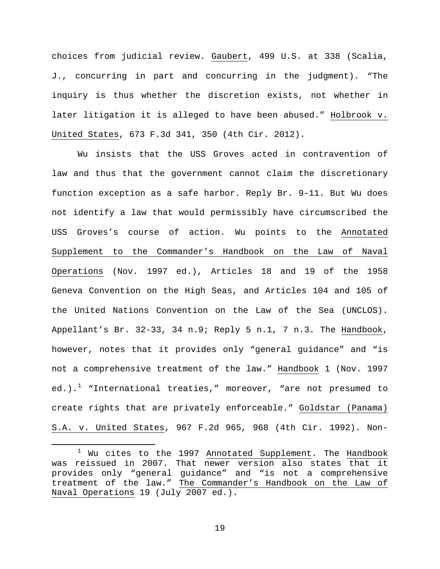choices from judicial review. Gaubert, 499 U.S. at 338 (Scalia, J., concurring in part and concurring in the judgment). "The inquiry is thus whether the discretion exists, not whether in later litigation it is alleged to have been abused." Holbrook v. United States, 673 F.3d 341, 350 (4th Cir. 2012).

Wu insists that the USS Groves acted in contravention of law and thus that the government cannot claim the discretionary function exception as a safe harbor. Reply Br. 9-11. But Wu does not identify a law that would permissibly have circumscribed the USS Groves's course of action. Wu points to the Annotated Supplement to the Commander's Handbook on the Law of Naval Operations (Nov. 1997 ed.), Articles 18 and 19 of the 1958 Geneva Convention on the High Seas, and Articles 104 and 105 of the United Nations Convention on the Law of the Sea (UNCLOS). Appellant's Br. 32-33, 34 n.9; Reply 5 n.1, 7 n.3. The Handbook, however, notes that it provides only "general guidance" and "is not a comprehensive treatment of the law." Handbook 1 (Nov. 1997 ed.).<sup>[1](#page-18-0)</sup> "International treaties," moreover, "are not presumed to create rights that are privately enforceable." Goldstar (Panama) S.A. v. United States, 967 F.2d 965, 968 (4th Cir. 1992). Non-

<span id="page-18-0"></span><sup>&</sup>lt;sup>1</sup> Wu cites to the 1997 Annotated Supplement. The Handbook was reissued in 2007. That newer version also states that it provides only "general guidance" and "is not a comprehensive treatment of the law." The Commander's Handbook on the Law of Naval Operations 19 (July 2007 ed.).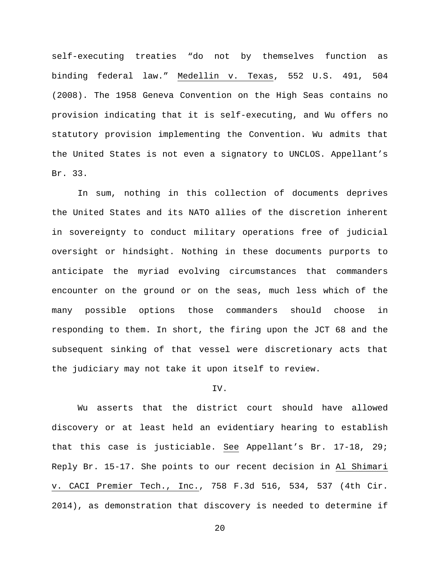self-executing treaties "do not by themselves function as binding federal law." Medellin v. Texas, 552 U.S. 491, 504 (2008). The 1958 Geneva Convention on the High Seas contains no provision indicating that it is self-executing, and Wu offers no statutory provision implementing the Convention. Wu admits that the United States is not even a signatory to UNCLOS. Appellant's Br. 33.

In sum, nothing in this collection of documents deprives the United States and its NATO allies of the discretion inherent in sovereignty to conduct military operations free of judicial oversight or hindsight. Nothing in these documents purports to anticipate the myriad evolving circumstances that commanders encounter on the ground or on the seas, much less which of the many possible options those commanders should choose in responding to them. In short, the firing upon the JCT 68 and the subsequent sinking of that vessel were discretionary acts that the judiciary may not take it upon itself to review.

#### IV.

Wu asserts that the district court should have allowed discovery or at least held an evidentiary hearing to establish that this case is justiciable. See Appellant's Br. 17-18, 29; Reply Br. 15-17. She points to our recent decision in Al Shimari v. CACI Premier Tech., Inc., 758 F.3d 516, 534, 537 (4th Cir. 2014), as demonstration that discovery is needed to determine if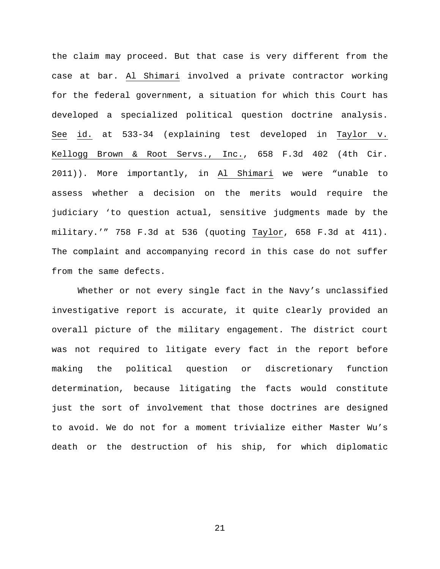the claim may proceed. But that case is very different from the case at bar. Al Shimari involved a private contractor working for the federal government, a situation for which this Court has developed a specialized political question doctrine analysis. See id. at 533-34 (explaining test developed in Taylor v. Kellogg Brown & Root Servs., Inc., 658 F.3d 402 (4th Cir. 2011)). More importantly, in Al Shimari we were "unable to assess whether a decision on the merits would require the judiciary 'to question actual, sensitive judgments made by the military.'" 758 F.3d at 536 (quoting Taylor, 658 F.3d at 411). The complaint and accompanying record in this case do not suffer from the same defects.

Whether or not every single fact in the Navy's unclassified investigative report is accurate, it quite clearly provided an overall picture of the military engagement. The district court was not required to litigate every fact in the report before making the political question or discretionary function determination, because litigating the facts would constitute just the sort of involvement that those doctrines are designed to avoid. We do not for a moment trivialize either Master Wu's death or the destruction of his ship, for which diplomatic